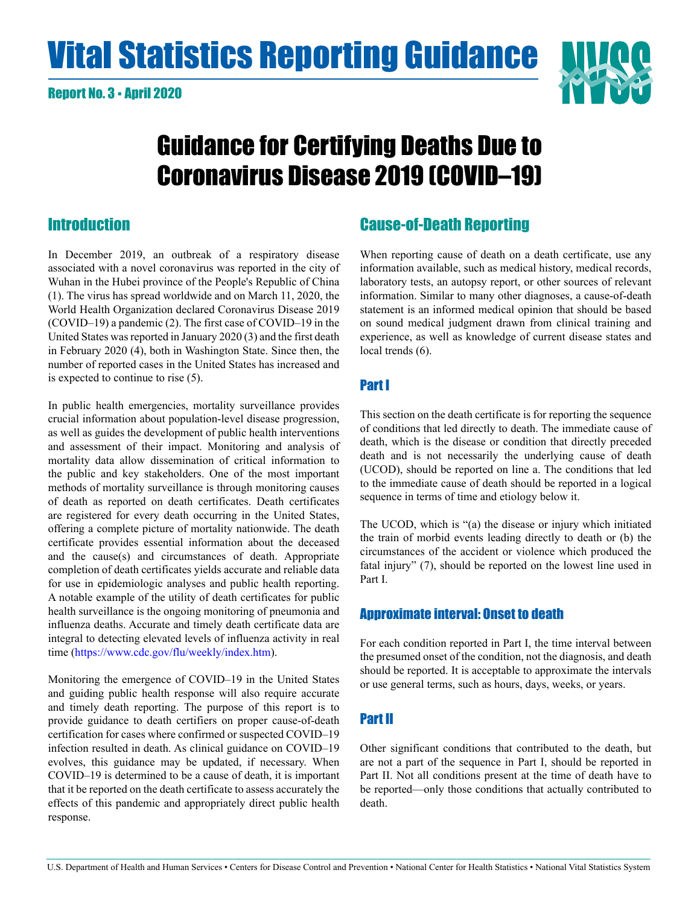# <span id="page-0-0"></span>**Vital Statistics Reporting Guidance NIV**



## Guidance for Certifying Deaths Due to Coronavirus Disease 2019 (COVID–19)

## **Introduction**

In December 2019, an outbreak of a respiratory disease associated with a novel coronavirus was reported in the city of Wuhan in the Hubei province of the People's Republic of China (1). The virus has spread worldwide and on March 11, 2020, the World Health Organization declared Coronavirus Disease 2019 (COVID–19) a pandemic (2). The first case of COVID–19 in the United States was reported in January 2020 (3) and the first death in February 2020 (4), both in Washington State. Since then, the number of reported cases in the United States has increased and is expected to continue to rise (5).

In public health emergencies, mortality surveillance provides crucial information about population-level disease progression, as well as guides the development of public health interventions and assessment of their impact. Monitoring and analysis of mortality data allow dissemination of critical information to the public and key stakeholders. One of the most important methods of mortality surveillance is through monitoring causes of death as reported on death certificates. Death certificates are registered for every death occurring in the United States, offering a complete picture of mortality nationwide. The death certificate provides essential information about the deceased and the cause(s) and circumstances of death. Appropriate completion of death certificates yields accurate and reliable data for use in epidemiologic analyses and public health reporting. A notable example of the utility of death certificates for public health surveillance is the ongoing monitoring of pneumonia and influenza deaths. Accurate and timely death certificate data are integral to detecting elevated levels of influenza activity in real time ([https://www.cdc.gov/flu/weekly/index.htm\)](https://www.cdc.gov/flu/weekly/index.htm).

Monitoring the emergence of COVID–19 in the United States and guiding public health response will also require accurate and timely death reporting. The purpose of this report is to provide guidance to death certifiers on proper cause-of-death certification for cases where confirmed or suspected COVID–19 infection resulted in death. As clinical guidance on COVID–19 evolves, this guidance may be updated, if necessary. When COVID–19 is determined to be a cause of death, it is important that it be reported on the death certificate to assess accurately the effects of this pandemic and appropriately direct public health response.

## Cause-of-Death Reporting

When reporting cause of death on a death certificate, use any information available, such as medical history, medical records, laboratory tests, an autopsy report, or other sources of relevant information. Similar to many other diagnoses, a cause-of-death statement is an informed medical opinion that should be based on sound medical judgment drawn from clinical training and experience, as well as knowledge of current disease states and local trends (6).

## Part I

This section on the death certificate is for reporting the sequence of conditions that led directly to death. The immediate cause of death, which is the disease or condition that directly preceded death and is not necessarily the underlying cause of death (UCOD), should be reported on line a. The conditions that led to the immediate cause of death should be reported in a logical sequence in terms of time and etiology below it.

The UCOD, which is "(a) the disease or injury which initiated the train of morbid events leading directly to death or (b) the circumstances of the accident or violence which produced the fatal injury" (7), should be reported on the lowest line used in Part I.

## Approximate interval: Onset to death

For each condition reported in Part I, the time interval between the presumed onset of the condition, not the diagnosis, and death should be reported. It is acceptable to approximate the intervals or use general terms, such as hours, days, weeks, or years.

## Part II

Other significant conditions that contributed to the death, but are not a part of the sequence in Part I, should be reported in Part II. Not all conditions present at the time of death have to be reported—only those conditions that actually contributed to death.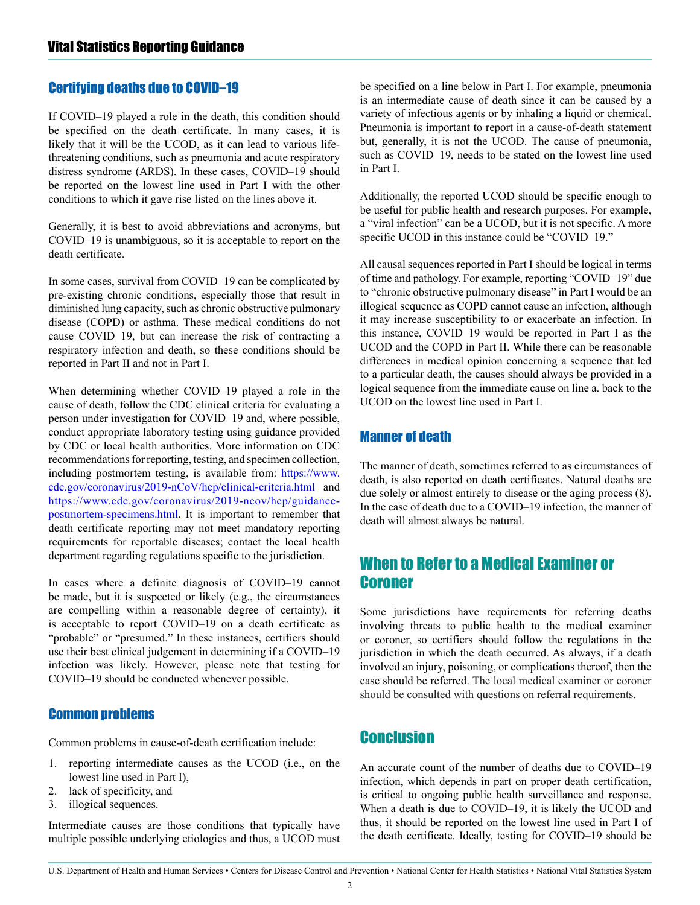## <span id="page-1-0"></span>Certifying deaths due to COVID–19

If COVID–19 played a role in the death, this condition should be specified on the death certificate. In many cases, it is likely that it will be the UCOD, as it can lead to various lifethreatening conditions, such as pneumonia and acute respiratory distress syndrome (ARDS). In these cases, COVID–19 should be reported on the lowest line used in Part I with the other conditions to which it gave rise listed on the lines above it.

Generally, it is best to avoid abbreviations and acronyms, but COVID–19 is unambiguous, so it is acceptable to report on the death certificate.

In some cases, survival from COVID–19 can be complicated by pre-existing chronic conditions, especially those that result in diminished lung capacity, such as chronic obstructive pulmonary disease (COPD) or asthma. These medical conditions do not cause COVID–19, but can increase the risk of contracting a respiratory infection and death, so these conditions should be reported in Part II and not in Part I.

When determining whether COVID–19 played a role in the cause of death, follow the CDC clinical criteria for evaluating a person under investigation for COVID–19 and, where possible, conduct appropriate laboratory testing using guidance provided by CDC or local health authorities. More information on CDC recommendations for reporting, testing, and specimen collection, including postmortem testing, is available from: [https://www.](https://www.cdc.gov/coronavirus/2019-nCoV/hcp/clinical-criteria.html) [cdc.gov/coronavirus/2019-nCoV/hcp/clinical-criteria.html](https://www.cdc.gov/coronavirus/2019-nCoV/hcp/clinical-criteria.html) and [https://www.cdc.gov/coronavirus/2019-ncov/hcp/guidance](https://www.cdc.gov/coronavirus/2019-ncov/hcp/guidance-postmortem-specimens.html)[postmortem-specimens.html.](https://www.cdc.gov/coronavirus/2019-ncov/hcp/guidance-postmortem-specimens.html) It is important to remember that death certificate reporting may not meet mandatory reporting requirements for reportable diseases; contact the local health department regarding regulations specific to the jurisdiction.

In cases where a definite diagnosis of COVID–19 cannot be made, but it is suspected or likely (e.g., the circumstances are compelling within a reasonable degree of certainty), it is acceptable to report COVID–19 on a death certificate as "probable" or "presumed." In these instances, certifiers should use their best clinical judgement in determining if a COVID–19 infection was likely. However, please note that testing for COVID–19 should be conducted whenever possible.

## Common problems

Common problems in cause-of-death certification include:

- 1. reporting intermediate causes as the UCOD (i.e., on the lowest line used in Part I),
- 2. lack of specificity, and
- 3. illogical sequences.

Intermediate causes are those conditions that typically have multiple possible underlying etiologies and thus, a UCOD must be specified on a line below in Part I. For example, pneumonia is an intermediate cause of death since it can be caused by a variety of infectious agents or by inhaling a liquid or chemical. Pneumonia is important to report in a cause-of-death statement but, generally, it is not the UCOD. The cause of pneumonia, such as COVID–19, needs to be stated on the lowest line used in Part I.

Additionally, the reported UCOD should be specific enough to be useful for public health and research purposes. For example, a "viral infection" can be a UCOD, but it is not specific. A more specific UCOD in this instance could be "COVID–19."

All causal sequences reported in Part I should be logical in terms of time and pathology. For example, reporting "COVID–19" due to "chronic obstructive pulmonary disease" in Part I would be an illogical sequence as COPD cannot cause an infection, although it may increase susceptibility to or exacerbate an infection. In this instance, COVID–19 would be reported in Part I as the UCOD and the COPD in Part II. While there can be reasonable differences in medical opinion concerning a sequence that led to a particular death, the causes should always be provided in a logical sequence from the immediate cause on line a. back to the UCOD on the lowest line used in Part I.

## Manner of death

The manner of death, sometimes referred to as circumstances of death, is also reported on death certificates. Natural deaths are due solely or almost entirely to disease or the aging process (8). In the case of death due to a COVID–19 infection, the manner of death will almost always be natural.

## When to Refer to a Medical Examiner or Coroner

Some jurisdictions have requirements for referring deaths involving threats to public health to the medical examiner or coroner, so certifiers should follow the regulations in the jurisdiction in which the death occurred. As always, if a death involved an injury, poisoning, or complications thereof, then the case should be referred. The local medical examiner or coroner should be consulted with questions on referral requirements.

## **Conclusion**

An accurate count of the number of deaths due to COVID–19 infection, which depends in part on proper death certification, is critical to ongoing public health surveillance and response. When a death is due to COVID–19, it is likely the UCOD and thus, it should be reported on the lowest line used in Part I of the death certificate. Ideally, testing for COVID–19 should be

U.S. Department of Health and Human Services • Centers for Disease Control and Prevention • National Center for Health Statistics • National Vital Statistics System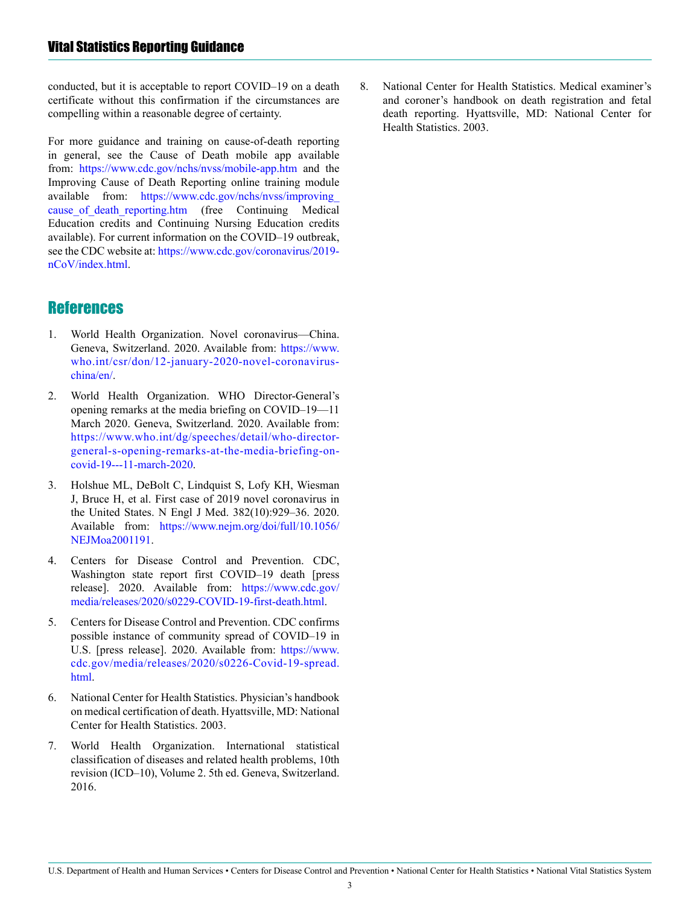<span id="page-2-0"></span>conducted, but it is acceptable to report COVID–19 on a death certificate without this confirmation if the circumstances are compelling within a reasonable degree of certainty.

For more guidance and training on cause-of-death reporting in general, see the Cause of Death mobile app available from: <https://www.cdc.gov/nchs/nvss/mobile-app.htm> and the Improving Cause of Death Reporting online training module available from: [https://www.cdc.gov/nchs/nvss/improving\\_](https://www.cdc.gov/nchs/nvss/improving_cause_of_death_reporting.htm) cause of death reporting.htm (free Continuing Medical Education credits and Continuing Nursing Education credits available). For current information on the COVID–19 outbreak, see the CDC website at: [https://www.cdc.gov/coronavirus/2019](https://www.cdc.gov/coronavirus/2019-nCoV/index.html) [nCoV/index.html.](https://www.cdc.gov/coronavirus/2019-nCoV/index.html)

## **References**

- 1. World Health Organization. Novel coronavirus—China. Geneva, Switzerland. 2020. Available from: [https://www.](https://www.who.int/csr/don/12-january-2020-novel-coronavirus-china/en/) [who.int/csr/don/12-january-2020-novel-coronavirus](https://www.who.int/csr/don/12-january-2020-novel-coronavirus-china/en/)[china/en/.](https://www.who.int/csr/don/12-january-2020-novel-coronavirus-china/en/)
- 2. World Health Organization. WHO Director-General's opening remarks at the media briefing on COVID–19—11 March 2020. Geneva, Switzerland. 2020. Available from: [https://www.who.int/dg/speeches/detail/who-director](https://www.who.int/dg/speeches/detail/who-director-general-s-opening-remarks-at-the-media-briefing-on-covid-19---11-march-2020)[general-s-opening-remarks-at-the-media-briefing-on](https://www.who.int/dg/speeches/detail/who-director-general-s-opening-remarks-at-the-media-briefing-on-covid-19---11-march-2020)[covid-19---11-march-2020.](https://www.who.int/dg/speeches/detail/who-director-general-s-opening-remarks-at-the-media-briefing-on-covid-19---11-march-2020)
- 3. Holshue ML, DeBolt C, Lindquist S, Lofy KH, Wiesman J, Bruce H, et al. First case of 2019 novel coronavirus in the United States. N Engl J Med. 382(10):929–36. 2020. Available from: [https://www.nejm.org/doi/full/10.1056/](https://www.nejm.org/doi/full/10.1056/NEJMoa2001191) [NEJMoa2001191](https://www.nejm.org/doi/full/10.1056/NEJMoa2001191).
- 4. Centers for Disease Control and Prevention. CDC, Washington state report first COVID–19 death [press release]. 2020. Available from: [https://www.cdc.gov/](https://www.cdc.gov/media/releases/2020/s0229-COVID-19-first-death.html) [media/releases/2020/s0229-COVID-19-first-death.html.](https://www.cdc.gov/media/releases/2020/s0229-COVID-19-first-death.html)
- 5. Centers for Disease Control and Prevention. CDC confirms possible instance of community spread of COVID–19 in U.S. [press release]. 2020. Available from: [https://www.](https://www.cdc.gov/media/releases/2020/s0226-Covid-19-spread.html) [cdc.gov/media/releases/2020/s0226-Covid-19-spread.](https://www.cdc.gov/media/releases/2020/s0226-Covid-19-spread.html) [html](https://www.cdc.gov/media/releases/2020/s0226-Covid-19-spread.html).
- 6. National Center for Health Statistics. Physician's handbook on medical certification of death. Hyattsville, MD: National Center for Health Statistics. 2003.
- 7. World Health Organization. International statistical classification of diseases and related health problems, 10th revision (ICD–10), Volume 2. 5th ed. Geneva, Switzerland. 2016.

8. National Center for Health Statistics. Medical examiner's and coroner's handbook on death registration and fetal death reporting. Hyattsville, MD: National Center for Health Statistics. 2003.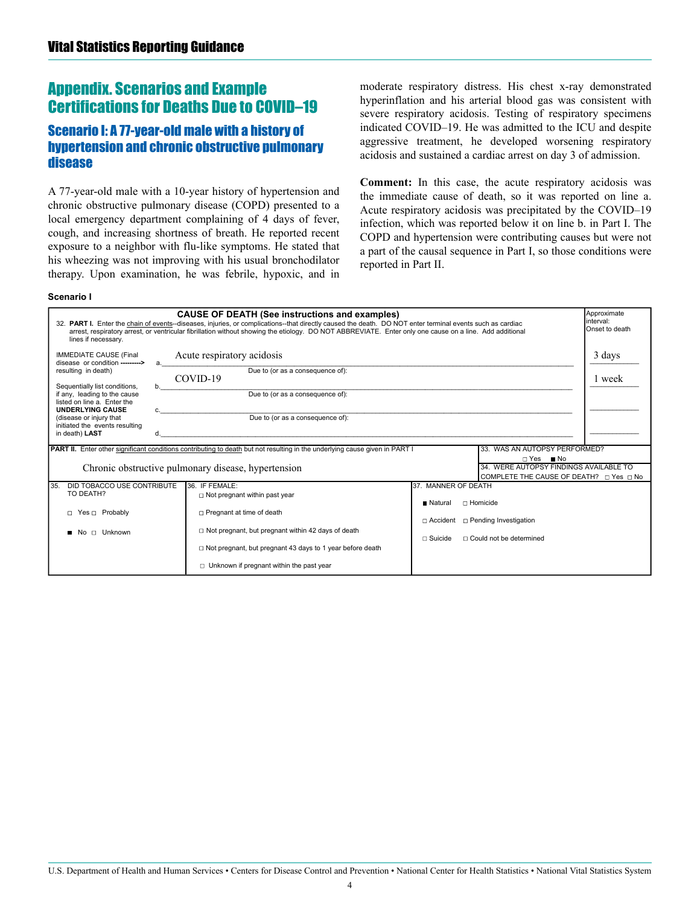## <span id="page-3-0"></span>Appendix. Scenarios and Example Certifications for Deaths Due to COVID–19

## Scenario I: A 77-year-old male with a history of hypertension and chronic obstructive pulmonary disease

A 77-year-old male with a 10-year history of hypertension and chronic obstructive pulmonary disease (COPD) presented to a local emergency department complaining of 4 days of fever, cough, and increasing shortness of breath. He reported recent exposure to a neighbor with flu-like symptoms. He stated that his wheezing was not improving with his usual bronchodilator therapy. Upon examination, he was febrile, hypoxic, and in moderate respiratory distress. His chest x-ray demonstrated hyperinflation and his arterial blood gas was consistent with severe respiratory acidosis. Testing of respiratory specimens indicated COVID–19. He was admitted to the ICU and despite aggressive treatment, he developed worsening respiratory acidosis and sustained a cardiac arrest on day 3 of admission.

**Comment:** In this case, the acute respiratory acidosis was the immediate cause of death, so it was reported on line a. Acute respiratory acidosis was precipitated by the COVID–19 infection, which was reported below it on line b. in Part I. The COPD and hypertension were contributing causes but were not a part of the causal sequence in Part I, so those conditions were reported in Part II.

#### Scenario I

| Approximate<br><b>CAUSE OF DEATH (See instructions and examples)</b><br>linterval:<br>32. PART I. Enter the chain of events--diseases, injuries, or complications--that directly caused the death. DO NOT enter terminal events such as cardiac<br>Onset to death<br>arrest, respiratory arrest, or ventricular fibrillation without showing the etiology. DO NOT ABBREVIATE. Enter only one cause on a line. Add additional<br>lines if necessary. |                                                                                                                                    |                                                     |                  |
|-----------------------------------------------------------------------------------------------------------------------------------------------------------------------------------------------------------------------------------------------------------------------------------------------------------------------------------------------------------------------------------------------------------------------------------------------------|------------------------------------------------------------------------------------------------------------------------------------|-----------------------------------------------------|------------------|
| <b>IMMEDIATE CAUSE (Final</b><br>disease or condition ---------><br>resulting in death)                                                                                                                                                                                                                                                                                                                                                             | Acute respiratory acidosis<br>Due to (or as a consequence of):<br>COVID-19                                                         |                                                     | 3 days<br>1 week |
| Sequentially list conditions,<br>b.<br>if any, leading to the cause<br>listed on line a. Enter the<br><b>UNDERLYING CAUSE</b>                                                                                                                                                                                                                                                                                                                       | Due to (or as a consequence of):                                                                                                   |                                                     |                  |
| (disease or injury that<br>initiated the events resulting<br>in death) LAST<br>d.                                                                                                                                                                                                                                                                                                                                                                   | Due to (or as a consequence of):                                                                                                   |                                                     |                  |
|                                                                                                                                                                                                                                                                                                                                                                                                                                                     | <b>PART II.</b> Enter other significant conditions contributing to death but not resulting in the underlying cause given in PART I | 33. WAS AN AUTOPSY PERFORMED?<br>□ Yes Mo           |                  |
| Chronic obstructive pulmonary disease, hypertension<br>34. WERE AUTOPSY FINDINGS AVAILABLE TO<br>COMPLETE THE CAUSE OF DEATH? □ Yes □ No                                                                                                                                                                                                                                                                                                            |                                                                                                                                    |                                                     |                  |
| DID TOBACCO USE CONTRIBUTE<br>35.<br>TO DEATH?                                                                                                                                                                                                                                                                                                                                                                                                      | 36. IF FEMALE:<br>$\Box$ Not pregnant within past year                                                                             | 37. MANNER OF DEATH<br>□ Homicide<br><b>Natural</b> |                  |
| □ Yes □ Probably                                                                                                                                                                                                                                                                                                                                                                                                                                    | □ Pregnant at time of death                                                                                                        | $\Box$ Accident $\Box$ Pending Investigation        |                  |
| □ Unknown<br>No.                                                                                                                                                                                                                                                                                                                                                                                                                                    | $\Box$ Not pregnant, but pregnant within 42 days of death                                                                          | $\Box$ Could not be determined<br>$\sqcap$ Suicide  |                  |
|                                                                                                                                                                                                                                                                                                                                                                                                                                                     | □ Not pregnant, but pregnant 43 days to 1 year before death<br>$\Box$ Unknown if pregnant within the past year                     |                                                     |                  |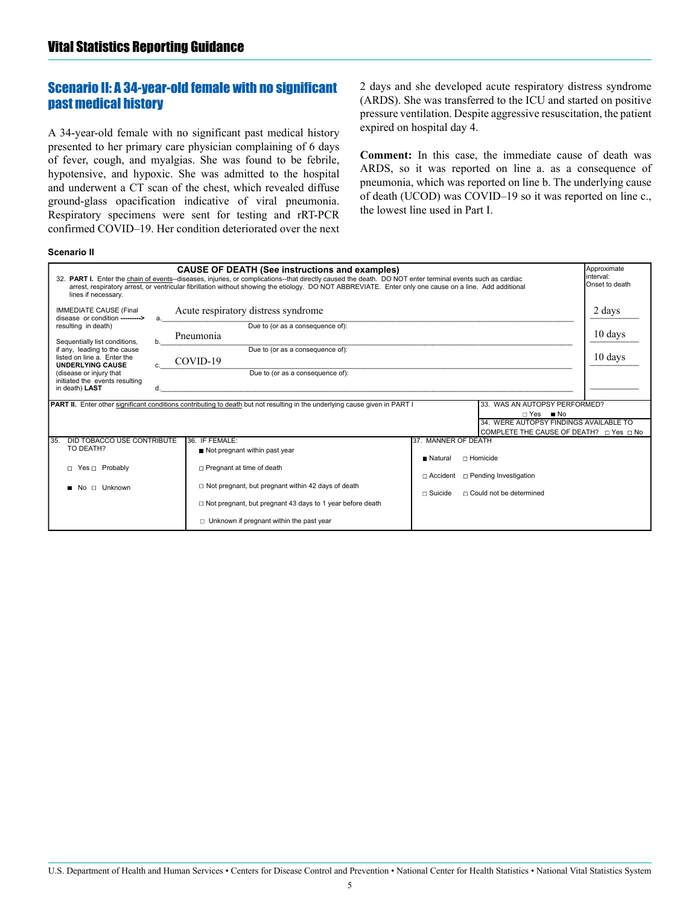## <span id="page-4-0"></span>Scenario II: A 34-year-old female with no significant past medical history

A 34-year-old female with no significant past medical history presented to her primary care physician complaining of 6 days of fever, cough, and myalgias. She was found to be febrile, hypotensive, and hypoxic. She was admitted to the hospital and underwent a CT scan of the chest, which revealed diffuse ground-glass opacification indicative of viral pneumonia. Respiratory specimens were sent for testing and rRT-PCR confirmed COVID–19. Her condition deteriorated over the next 2 days and she developed acute respiratory distress syndrome (ARDS). She was transferred to the ICU and started on positive pressure ventilation. Despite aggressive resuscitation, the patient expired on hospital day 4.

**Comment:** In this case, the immediate cause of death was ARDS, so it was reported on line a. as a consequence of pneumonia, which was reported on line b. The underlying cause of death (UCOD) was COVID–19 so it was reported on line c., the lowest line used in Part I.

#### **Scenario II**

| Approximate<br><b>CAUSE OF DEATH (See instructions and examples)</b><br>32. PART I. Enter the chain of events--diseases, injuries, or complications--that directly caused the death. DO NOT enter terminal events such as cardiac<br>Onset to death<br>arrest, respiratory arrest, or ventricular fibrillation without showing the etiology. DO NOT ABBREVIATE. Enter only one cause on a line. Add additional<br>lines if necessary. |                                                                                                                                                                                                                                                                                                                                                                                                                                      |                              |  |  |
|---------------------------------------------------------------------------------------------------------------------------------------------------------------------------------------------------------------------------------------------------------------------------------------------------------------------------------------------------------------------------------------------------------------------------------------|--------------------------------------------------------------------------------------------------------------------------------------------------------------------------------------------------------------------------------------------------------------------------------------------------------------------------------------------------------------------------------------------------------------------------------------|------------------------------|--|--|
| <b>IMMEDIATE CAUSE (Final</b><br>disease or condition --------><br>resulting in death)<br>Sequentially list conditions,<br>if any, leading to the cause<br>listed on line a. Enter the<br><b>UNDERLYING CAUSE</b><br>(disease or injury that<br>initiated the events resulting<br>in death) LAST                                                                                                                                      | Acute respiratory distress syndrome<br>Due to (or as a consequence of):<br>Pneumonia<br>b.<br>Due to (or as a consequence of):<br>COVID-19<br>Due to (or as a consequence of):                                                                                                                                                                                                                                                       | 2 days<br>10 days<br>10 days |  |  |
| <b>PART II.</b> Enter other significant conditions contributing to death but not resulting in the underlying cause given in PART I<br>33. WAS AN AUTOPSY PERFORMED?<br>□ Yes Mo<br>34. WERE AUTOPSY FINDINGS AVAILABLE TO                                                                                                                                                                                                             |                                                                                                                                                                                                                                                                                                                                                                                                                                      |                              |  |  |
| DID TOBACCO USE CONTRIBUTE<br>35.<br>TO DEATH?<br>□ Yes □ Probably<br>□ Unknown<br>N <sub>O</sub>                                                                                                                                                                                                                                                                                                                                     | 36. IF FEMALE:<br>37. MANNER OF DEATH<br>Not pregnant within past year<br>□ Homicide<br><b>Natural</b><br>$\Box$ Pregnant at time of death<br>$\Box$ Accident $\Box$ Pending Investigation<br>$\Box$ Not pregnant, but pregnant within 42 days of death<br>$\Box$ Could not be determined<br>$\sqcap$ Suicide<br>$\Box$ Not pregnant, but pregnant 43 days to 1 year before death<br>$\Box$ Unknown if pregnant within the past year |                              |  |  |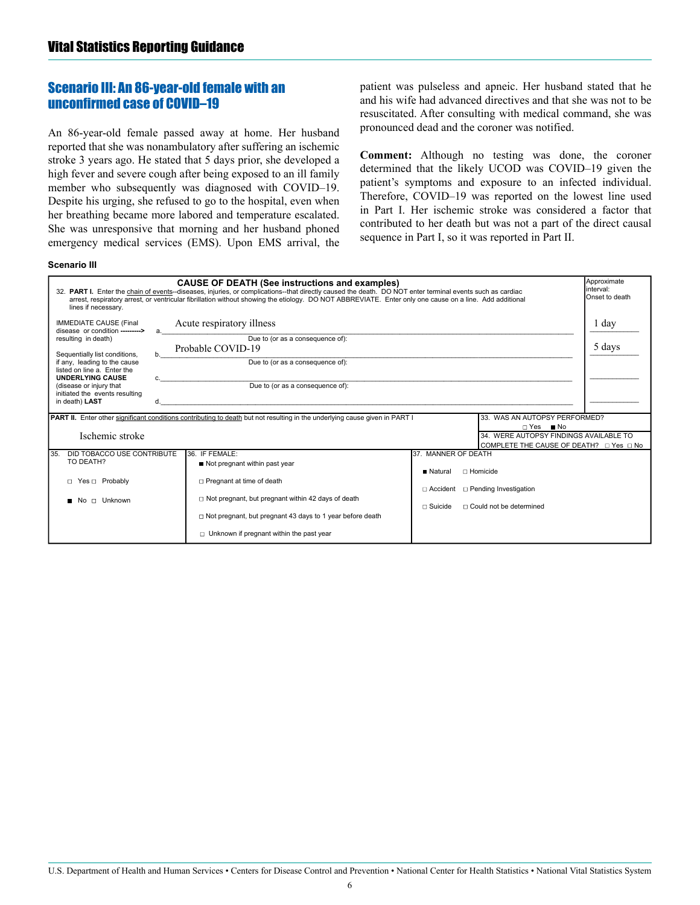## <span id="page-5-0"></span>Scenario III: An 86-year-old female with an unconfirmed case of COVID–19

An 86-year-old female passed away at home. Her husband reported that she was nonambulatory after suffering an ischemic stroke 3 years ago. He stated that 5 days prior, she developed a high fever and severe cough after being exposed to an ill family member who subsequently was diagnosed with COVID–19. Despite his urging, she refused to go to the hospital, even when her breathing became more labored and temperature escalated. She was unresponsive that morning and her husband phoned emergency medical services (EMS). Upon EMS arrival, the

patient was pulseless and apneic. Her husband stated that he and his wife had advanced directives and that she was not to be resuscitated. After consulting with medical command, she was pronounced dead and the coroner was notified.

**Comment:** Although no testing was done, the coroner determined that the likely UCOD was COVID–19 given the patient's symptoms and exposure to an infected individual. Therefore, COVID–19 was reported on the lowest line used in Part I. Her ischemic stroke was considered a factor that contributed to her death but was not a part of the direct causal sequence in Part I, so it was reported in Part II.

#### **Scenario III**

| <b>CAUSE OF DEATH (See instructions and examples)</b><br>32. PART I. Enter the chain of events--diseases, injuries, or complications--that directly caused the death. DO NOT enter terminal events such as cardiac<br>arrest, respiratory arrest, or ventricular fibrillation without showing the etiology. DO NOT ABBREVIATE. Enter only one cause on a line. Add additional<br>lines if necessary. |                          |                                                                                                                                                                                                                                                               |                                                                                                                                                                | Approximate<br>linterval:<br>Onset to death |
|------------------------------------------------------------------------------------------------------------------------------------------------------------------------------------------------------------------------------------------------------------------------------------------------------------------------------------------------------------------------------------------------------|--------------------------|---------------------------------------------------------------------------------------------------------------------------------------------------------------------------------------------------------------------------------------------------------------|----------------------------------------------------------------------------------------------------------------------------------------------------------------|---------------------------------------------|
| <b>IMMEDIATE CAUSE (Final</b><br>disease or condition --------><br>resulting in death)<br>Sequentially list conditions,<br>if any, leading to the cause<br>listed on line a. Enter the<br><b>UNDERLYING CAUSE</b><br>(disease or injury that<br>initiated the events resulting<br>in death) LAST                                                                                                     | <sub>b</sub><br>C.<br>d. | Acute respiratory illness<br>Due to (or as a consequence of):<br>Probable COVID-19<br>Due to (or as a consequence of):<br>Due to (or as a consequence of):                                                                                                    |                                                                                                                                                                | 1 day<br>5 days                             |
| PART II. Enter other significant conditions contributing to death but not resulting in the underlying cause given in PART I<br>33. WAS AN AUTOPSY PERFORMED?<br>□ Yes Mo<br>Ischemic stroke<br>34. WERE AUTOPSY FINDINGS AVAILABLE TO                                                                                                                                                                |                          |                                                                                                                                                                                                                                                               |                                                                                                                                                                |                                             |
| DID TOBACCO USE CONTRIBUTE<br>35.<br>TO DEATH?<br>□ Yes □ Probably<br>$\Box$ Unknown<br>N <sub>0</sub>                                                                                                                                                                                                                                                                                               |                          | 36. IF FEMALE:<br>Not pregnant within past year<br>□ Pregnant at time of death<br>$\Box$ Not pregnant, but pregnant within 42 days of death<br>□ Not pregnant, but pregnant 43 days to 1 year before death<br>$\Box$ Unknown if pregnant within the past year | 37. MANNER OF DEATH<br>$\sqcap$ Homicide<br><b>Natural</b><br>$\Box$ Accident $\Box$ Pending Investigation<br>$\Box$ Could not be determined<br>$\Box$ Suicide |                                             |